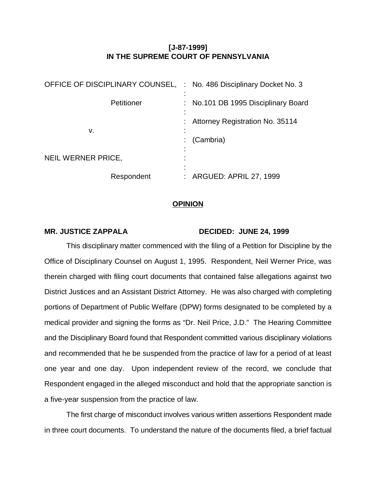# **[J-87-1999] IN THE SUPREME COURT OF PENNSYLVANIA**

| OFFICE OF DISCIPLINARY COUNSEL, | : No. 486 Disciplinary Docket No. 3    |
|---------------------------------|----------------------------------------|
| Petitioner                      | : No.101 DB 1995 Disciplinary Board    |
| v.                              | <b>Attorney Registration No. 35114</b> |
|                                 | (Cambria)                              |
| NEIL WERNER PRICE,              |                                        |
| Respondent                      | : ARGUED: APRIL 27, 1999               |

### **OPINION**

#### **MR. JUSTICE ZAPPALA DECIDED: JUNE 24, 1999**

This disciplinary matter commenced with the filing of a Petition for Discipline by the Office of Disciplinary Counsel on August 1, 1995. Respondent, Neil Werner Price, was therein charged with filing court documents that contained false allegations against two District Justices and an Assistant District Attorney. He was also charged with completing portions of Department of Public Welfare (DPW) forms designated to be completed by a medical provider and signing the forms as "Dr. Neil Price, J.D." The Hearing Committee and the Disciplinary Board found that Respondent committed various disciplinary violations and recommended that he be suspended from the practice of law for a period of at least one year and one day. Upon independent review of the record, we conclude that Respondent engaged in the alleged misconduct and hold that the appropriate sanction is a five-year suspension from the practice of law.

The first charge of misconduct involves various written assertions Respondent made in three court documents. To understand the nature of the documents filed, a brief factual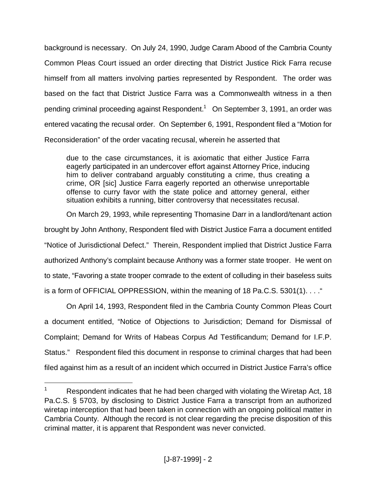background is necessary. On July 24, 1990, Judge Caram Abood of the Cambria County Common Pleas Court issued an order directing that District Justice Rick Farra recuse himself from all matters involving parties represented by Respondent. The order was based on the fact that District Justice Farra was a Commonwealth witness in a then pending criminal proceeding against Respondent. $^1$  On September 3, 1991, an order was entered vacating the recusal order. On September 6, 1991, Respondent filed a "Motion for Reconsideration" of the order vacating recusal, wherein he asserted that

due to the case circumstances, it is axiomatic that either Justice Farra eagerly participated in an undercover effort against Attorney Price, inducing him to deliver contraband arguably constituting a crime, thus creating a crime, OR [sic] Justice Farra eagerly reported an otherwise unreportable offense to curry favor with the state police and attorney general, either situation exhibits a running, bitter controversy that necessitates recusal.

On March 29, 1993, while representing Thomasine Darr in a landlord/tenant action brought by John Anthony, Respondent filed with District Justice Farra a document entitled "Notice of Jurisdictional Defect." Therein, Respondent implied that District Justice Farra authorized Anthony's complaint because Anthony was a former state trooper. He went on to state, "Favoring a state trooper comrade to the extent of colluding in their baseless suits is a form of OFFICIAL OPPRESSION, within the meaning of 18 Pa.C.S. 5301(1). . . ."

On April 14, 1993, Respondent filed in the Cambria County Common Pleas Court a document entitled, "Notice of Objections to Jurisdiction; Demand for Dismissal of Complaint; Demand for Writs of Habeas Corpus Ad Testificandum; Demand for I.F.P. Status." Respondent filed this document in response to criminal charges that had been filed against him as a result of an incident which occurred in District Justice Farra's office

<sup>1</sup> Respondent indicates that he had been charged with violating the Wiretap Act, 18 Pa.C.S. § 5703, by disclosing to District Justice Farra a transcript from an authorized wiretap interception that had been taken in connection with an ongoing political matter in Cambria County. Although the record is not clear regarding the precise disposition of this criminal matter, it is apparent that Respondent was never convicted.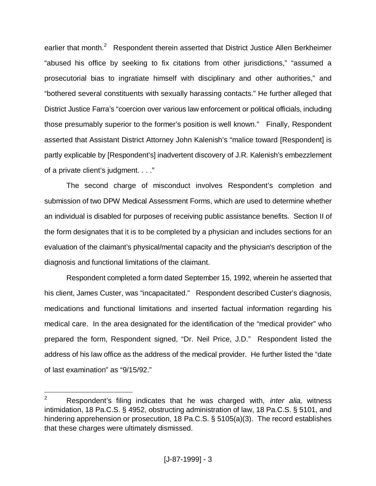earlier that month.<sup>2</sup> Respondent therein asserted that District Justice Allen Berkheimer "abused his office by seeking to fix citations from other jurisdictions," "assumed a prosecutorial bias to ingratiate himself with disciplinary and other authorities," and "bothered several constituents with sexually harassing contacts." He further alleged that District Justice Farra's "coercion over various law enforcement or political officials, including those presumably superior to the former's position is well known." Finally, Respondent asserted that Assistant District Attorney John Kalenish's "malice toward [Respondent] is partly explicable by [Respondent's] inadvertent discovery of J.R. Kalenish's embezzlement of a private client's judgment. . . ."

The second charge of misconduct involves Respondent's completion and submission of two DPW Medical Assessment Forms, which are used to determine whether an individual is disabled for purposes of receiving public assistance benefits. Section II of the form designates that it is to be completed by a physician and includes sections for an evaluation of the claimant's physical/mental capacity and the physician's description of the diagnosis and functional limitations of the claimant.

Respondent completed a form dated September 15, 1992, wherein he asserted that his client, James Custer, was "incapacitated." Respondent described Custer's diagnosis, medications and functional limitations and inserted factual information regarding his medical care. In the area designated for the identification of the "medical provider" who prepared the form, Respondent signed, "Dr. Neil Price, J.D." Respondent listed the address of his law office as the address of the medical provider. He further listed the "date of last examination" as "9/15/92."

<sup>2</sup> Respondent's filing indicates that he was charged with, *inter alia*, witness intimidation, 18 Pa.C.S. § 4952, obstructing administration of law, 18 Pa.C.S. § 5101, and hindering apprehension or prosecution, 18 Pa.C.S. § 5105(a)(3). The record establishes that these charges were ultimately dismissed.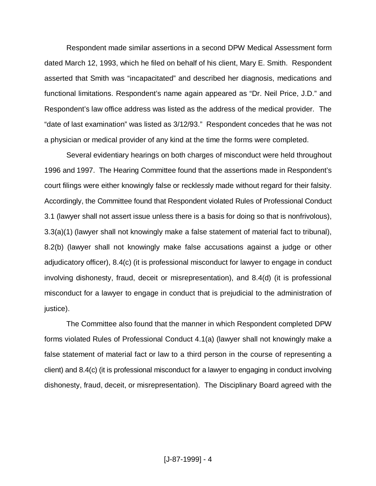Respondent made similar assertions in a second DPW Medical Assessment form dated March 12, 1993, which he filed on behalf of his client, Mary E. Smith. Respondent asserted that Smith was "incapacitated" and described her diagnosis, medications and functional limitations. Respondent's name again appeared as "Dr. Neil Price, J.D." and Respondent's law office address was listed as the address of the medical provider. The "date of last examination" was listed as 3/12/93." Respondent concedes that he was not a physician or medical provider of any kind at the time the forms were completed.

Several evidentiary hearings on both charges of misconduct were held throughout 1996 and 1997. The Hearing Committee found that the assertions made in Respondent's court filings were either knowingly false or recklessly made without regard for their falsity. Accordingly, the Committee found that Respondent violated Rules of Professional Conduct 3.1 (lawyer shall not assert issue unless there is a basis for doing so that is nonfrivolous), 3.3(a)(1) (lawyer shall not knowingly make a false statement of material fact to tribunal), 8.2(b) (lawyer shall not knowingly make false accusations against a judge or other adjudicatory officer), 8.4(c) (it is professional misconduct for lawyer to engage in conduct involving dishonesty, fraud, deceit or misrepresentation), and 8.4(d) (it is professional misconduct for a lawyer to engage in conduct that is prejudicial to the administration of justice).

The Committee also found that the manner in which Respondent completed DPW forms violated Rules of Professional Conduct 4.1(a) (lawyer shall not knowingly make a false statement of material fact or law to a third person in the course of representing a client) and 8.4(c) (it is professional misconduct for a lawyer to engaging in conduct involving dishonesty, fraud, deceit, or misrepresentation). The Disciplinary Board agreed with the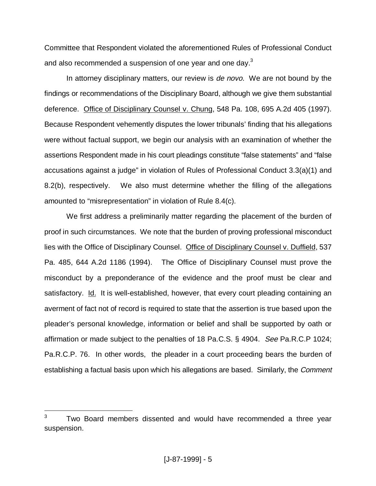Committee that Respondent violated the aforementioned Rules of Professional Conduct and also recommended a suspension of one year and one day.<sup>3</sup>

In attorney disciplinary matters, our review is *de novo*. We are not bound by the findings or recommendations of the Disciplinary Board, although we give them substantial deference. Office of Disciplinary Counsel v. Chung, 548 Pa. 108, 695 A.2d 405 (1997). Because Respondent vehemently disputes the lower tribunals' finding that his allegations were without factual support, we begin our analysis with an examination of whether the assertions Respondent made in his court pleadings constitute "false statements" and "false accusations against a judge" in violation of Rules of Professional Conduct 3.3(a)(1) and 8.2(b), respectively. We also must determine whether the filling of the allegations amounted to "misrepresentation" in violation of Rule 8.4(c).

We first address a preliminarily matter regarding the placement of the burden of proof in such circumstances. We note that the burden of proving professional misconduct lies with the Office of Disciplinary Counsel. Office of Disciplinary Counsel v. Duffield, 537 Pa. 485, 644 A.2d 1186 (1994). The Office of Disciplinary Counsel must prove the misconduct by a preponderance of the evidence and the proof must be clear and satisfactory. Id. It is well-established, however, that every court pleading containing an averment of fact not of record is required to state that the assertion is true based upon the pleader's personal knowledge, information or belief and shall be supported by oath or affirmation or made subject to the penalties of 18 Pa.C.S. § 4904. See Pa.R.C.P 1024; Pa.R.C.P. 76. In other words, the pleader in a court proceeding bears the burden of establishing a factual basis upon which his allegations are based. Similarly, the Comment

<sup>3</sup> Two Board members dissented and would have recommended a three year suspension.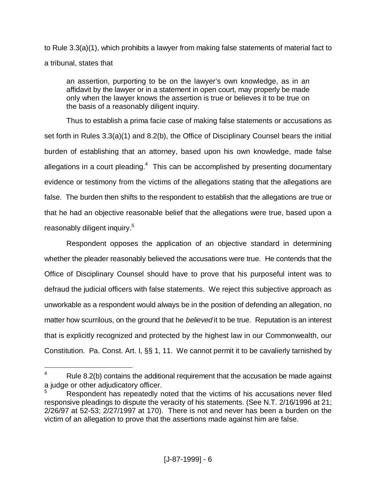to Rule 3.3(a)(1), which prohibits a lawyer from making false statements of material fact to a tribunal, states that

an assertion, purporting to be on the lawyer's own knowledge, as in an affidavit by the lawyer or in a statement in open court, may properly be made only when the lawyer knows the assertion is true or believes it to be true on the basis of a reasonably diligent inquiry.

Thus to establish a prima facie case of making false statements or accusations as set forth in Rules 3.3(a)(1) and 8.2(b), the Office of Disciplinary Counsel bears the initial burden of establishing that an attorney, based upon his own knowledge, made false allegations in a court pleading.<sup>4</sup> This can be accomplished by presenting documentary evidence or testimony from the victims of the allegations stating that the allegations are false. The burden then shifts to the respondent to establish that the allegations are true or that he had an objective reasonable belief that the allegations were true, based upon a reasonably diligent inquiry.<sup>5</sup>

Respondent opposes the application of an objective standard in determining whether the pleader reasonably believed the accusations were true. He contends that the Office of Disciplinary Counsel should have to prove that his purposeful intent was to defraud the judicial officers with false statements. We reject this subjective approach as unworkable as a respondent would always be in the position of defending an allegation, no matter how scurrilous, on the ground that he *believed* it to be true. Reputation is an interest that is explicitly recognized and protected by the highest law in our Commonwealth, our Constitution. Pa. Const. Art. I, §§ 1, 11. We cannot permit it to be cavalierly tarnished by

<sup>4</sup> Rule 8.2(b) contains the additional requirement that the accusation be made against a judge or other adjudicatory officer.

<sup>5</sup> Respondent has repeatedly noted that the victims of his accusations never filed responsive pleadings to dispute the veracity of his statements. (See N.T. 2/16/1996 at 21; 2/26/97 at 52-53; 2/27/1997 at 170). There is not and never has been a burden on the victim of an allegation to prove that the assertions made against him are false.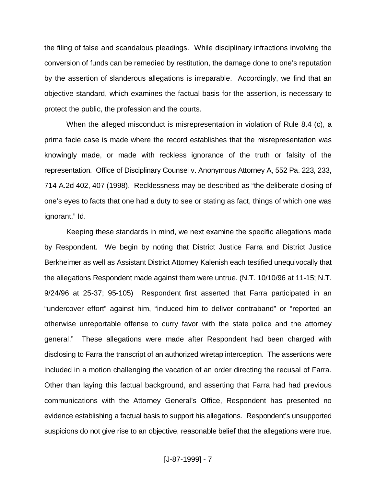the filing of false and scandalous pleadings. While disciplinary infractions involving the conversion of funds can be remedied by restitution, the damage done to one's reputation by the assertion of slanderous allegations is irreparable. Accordingly, we find that an objective standard, which examines the factual basis for the assertion, is necessary to protect the public, the profession and the courts.

When the alleged misconduct is misrepresentation in violation of Rule 8.4 (c), a prima facie case is made where the record establishes that the misrepresentation was knowingly made, or made with reckless ignorance of the truth or falsity of the representation. Office of Disciplinary Counsel v. Anonymous Attorney A, 552 Pa. 223, 233, 714 A.2d 402, 407 (1998). Recklessness may be described as "the deliberate closing of one's eyes to facts that one had a duty to see or stating as fact, things of which one was ignorant." Id.

Keeping these standards in mind, we next examine the specific allegations made by Respondent. We begin by noting that District Justice Farra and District Justice Berkheimer as well as Assistant District Attorney Kalenish each testified unequivocally that the allegations Respondent made against them were untrue. (N.T. 10/10/96 at 11-15; N.T. 9/24/96 at 25-37; 95-105) Respondent first asserted that Farra participated in an "undercover effort" against him, "induced him to deliver contraband" or "reported an otherwise unreportable offense to curry favor with the state police and the attorney general." These allegations were made after Respondent had been charged with disclosing to Farra the transcript of an authorized wiretap interception. The assertions were included in a motion challenging the vacation of an order directing the recusal of Farra. Other than laying this factual background, and asserting that Farra had had previous communications with the Attorney General's Office, Respondent has presented no evidence establishing a factual basis to support his allegations. Respondent's unsupported suspicions do not give rise to an objective, reasonable belief that the allegations were true.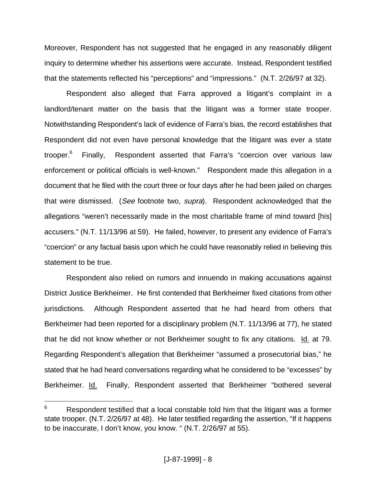Moreover, Respondent has not suggested that he engaged in any reasonably diligent inquiry to determine whether his assertions were accurate. Instead, Respondent testified that the statements reflected his "perceptions" and "impressions." (N.T. 2/26/97 at 32).

Respondent also alleged that Farra approved a litigant's complaint in a landlord/tenant matter on the basis that the litigant was a former state trooper. Notwithstanding Respondent's lack of evidence of Farra's bias, the record establishes that Respondent did not even have personal knowledge that the litigant was ever a state trooper.<sup>6</sup> Finally, Respondent asserted that Farra's "coercion over various law enforcement or political officials is well-known." Respondent made this allegation in a document that he filed with the court three or four days after he had been jailed on charges that were dismissed. (See footnote two, supra). Respondent acknowledged that the allegations "weren't necessarily made in the most charitable frame of mind toward [his] accusers." (N.T. 11/13/96 at 59). He failed, however, to present any evidence of Farra's "coercion" or any factual basis upon which he could have reasonably relied in believing this statement to be true.

Respondent also relied on rumors and innuendo in making accusations against District Justice Berkheimer. He first contended that Berkheimer fixed citations from other jurisdictions. Although Respondent asserted that he had heard from others that Berkheimer had been reported for a disciplinary problem (N.T. 11/13/96 at 77), he stated that he did not know whether or not Berkheimer sought to fix any citations. Id. at 79. Regarding Respondent's allegation that Berkheimer "assumed a prosecutorial bias," he stated that he had heard conversations regarding what he considered to be "excesses" by Berkheimer. Id. Finally, Respondent asserted that Berkheimer "bothered several

<sup>6</sup> Respondent testified that a local constable told him that the litigant was a former state trooper. (N.T. 2/26/97 at 48). He later testified regarding the assertion, "If it happens to be inaccurate, I don't know, you know. " (N.T. 2/26/97 at 55).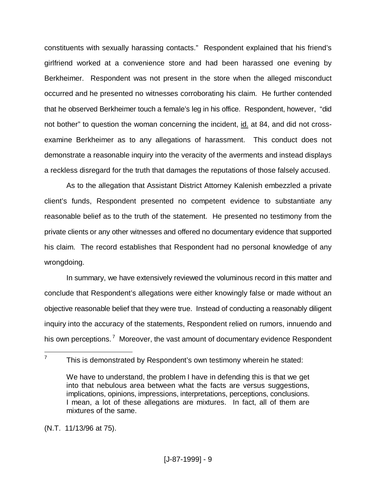constituents with sexually harassing contacts." Respondent explained that his friend's girlfriend worked at a convenience store and had been harassed one evening by Berkheimer. Respondent was not present in the store when the alleged misconduct occurred and he presented no witnesses corroborating his claim. He further contended that he observed Berkheimer touch a female's leg in his office. Respondent, however, "did not bother" to question the woman concerning the incident, id. at 84, and did not crossexamine Berkheimer as to any allegations of harassment. This conduct does not demonstrate a reasonable inquiry into the veracity of the averments and instead displays a reckless disregard for the truth that damages the reputations of those falsely accused.

As to the allegation that Assistant District Attorney Kalenish embezzled a private client's funds, Respondent presented no competent evidence to substantiate any reasonable belief as to the truth of the statement. He presented no testimony from the private clients or any other witnesses and offered no documentary evidence that supported his claim. The record establishes that Respondent had no personal knowledge of any wrongdoing.

In summary, we have extensively reviewed the voluminous record in this matter and conclude that Respondent's allegations were either knowingly false or made without an objective reasonable belief that they were true. Instead of conducting a reasonably diligent inquiry into the accuracy of the statements, Respondent relied on rumors, innuendo and his own perceptions.<sup>7</sup> Moreover, the vast amount of documentary evidence Respondent

 $\overline{a}$ 7

(N.T. 11/13/96 at 75).

This is demonstrated by Respondent's own testimony wherein he stated:

We have to understand, the problem I have in defending this is that we get into that nebulous area between what the facts are versus suggestions, implications, opinions, impressions, interpretations, perceptions, conclusions. I mean, a lot of these allegations are mixtures. In fact, all of them are mixtures of the same.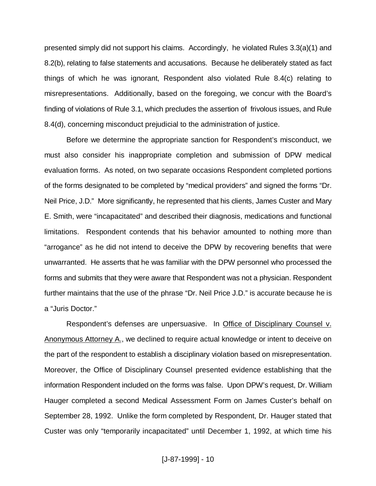presented simply did not support his claims. Accordingly, he violated Rules 3.3(a)(1) and 8.2(b), relating to false statements and accusations. Because he deliberately stated as fact things of which he was ignorant, Respondent also violated Rule 8.4(c) relating to misrepresentations. Additionally, based on the foregoing, we concur with the Board's finding of violations of Rule 3.1, which precludes the assertion of frivolous issues, and Rule 8.4(d), concerning misconduct prejudicial to the administration of justice.

Before we determine the appropriate sanction for Respondent's misconduct, we must also consider his inappropriate completion and submission of DPW medical evaluation forms. As noted, on two separate occasions Respondent completed portions of the forms designated to be completed by "medical providers" and signed the forms "Dr. Neil Price, J.D." More significantly, he represented that his clients, James Custer and Mary E. Smith, were "incapacitated" and described their diagnosis, medications and functional limitations. Respondent contends that his behavior amounted to nothing more than "arrogance" as he did not intend to deceive the DPW by recovering benefits that were unwarranted. He asserts that he was familiar with the DPW personnel who processed the forms and submits that they were aware that Respondent was not a physician. Respondent further maintains that the use of the phrase "Dr. Neil Price J.D." is accurate because he is a "Juris Doctor."

Respondent's defenses are unpersuasive. In Office of Disciplinary Counsel v. Anonymous Attorney A., we declined to require actual knowledge or intent to deceive on the part of the respondent to establish a disciplinary violation based on misrepresentation. Moreover, the Office of Disciplinary Counsel presented evidence establishing that the information Respondent included on the forms was false. Upon DPW's request, Dr. William Hauger completed a second Medical Assessment Form on James Custer's behalf on September 28, 1992. Unlike the form completed by Respondent, Dr. Hauger stated that Custer was only "temporarily incapacitated" until December 1, 1992, at which time his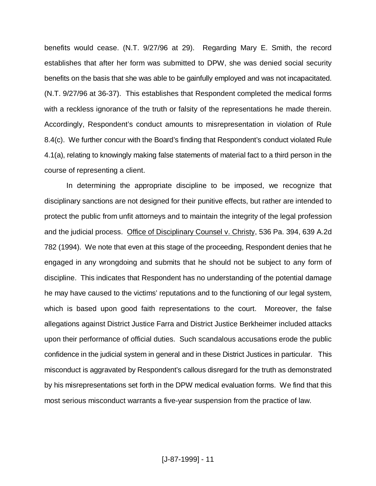benefits would cease. (N.T. 9/27/96 at 29). Regarding Mary E. Smith, the record establishes that after her form was submitted to DPW, she was denied social security benefits on the basis that she was able to be gainfully employed and was not incapacitated. (N.T. 9/27/96 at 36-37). This establishes that Respondent completed the medical forms with a reckless ignorance of the truth or falsity of the representations he made therein. Accordingly, Respondent's conduct amounts to misrepresentation in violation of Rule 8.4(c). We further concur with the Board's finding that Respondent's conduct violated Rule 4.1(a), relating to knowingly making false statements of material fact to a third person in the course of representing a client.

In determining the appropriate discipline to be imposed, we recognize that disciplinary sanctions are not designed for their punitive effects, but rather are intended to protect the public from unfit attorneys and to maintain the integrity of the legal profession and the judicial process. Office of Disciplinary Counsel v. Christy, 536 Pa. 394, 639 A.2d 782 (1994). We note that even at this stage of the proceeding, Respondent denies that he engaged in any wrongdoing and submits that he should not be subject to any form of discipline. This indicates that Respondent has no understanding of the potential damage he may have caused to the victims' reputations and to the functioning of our legal system, which is based upon good faith representations to the court. Moreover, the false allegations against District Justice Farra and District Justice Berkheimer included attacks upon their performance of official duties. Such scandalous accusations erode the public confidence in the judicial system in general and in these District Justices in particular. This misconduct is aggravated by Respondent's callous disregard for the truth as demonstrated by his misrepresentations set forth in the DPW medical evaluation forms. We find that this most serious misconduct warrants a five-year suspension from the practice of law.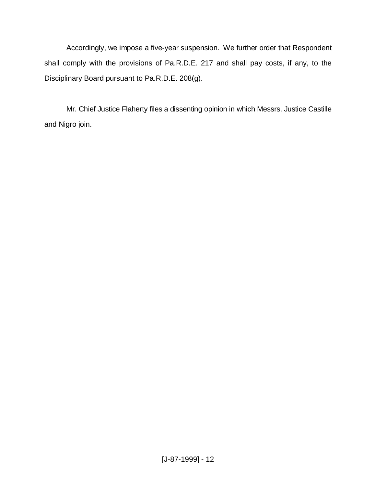Accordingly, we impose a five-year suspension. We further order that Respondent shall comply with the provisions of Pa.R.D.E. 217 and shall pay costs, if any, to the Disciplinary Board pursuant to Pa.R.D.E. 208(g).

Mr. Chief Justice Flaherty files a dissenting opinion in which Messrs. Justice Castille and Nigro join.